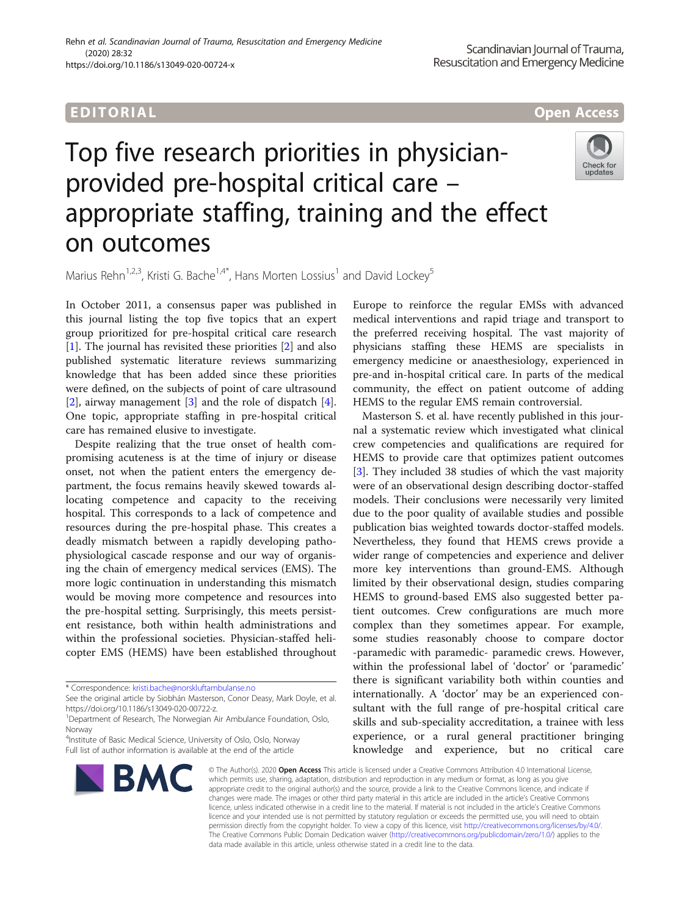# EDI TORIA L Open Access

# Top five research priorities in physicianprovided pre-hospital critical care – appropriate staffing, training and the effect on outcomes



Marius Rehn<sup>1,2,3</sup>, Kristi G. Bache<sup>1,4\*</sup>, Hans Morten Lossius<sup>1</sup> and David Lockey<sup>5</sup>

In October 2011, a consensus paper was published in this journal listing the top five topics that an expert group prioritized for pre-hospital critical care research [[1\]](#page-1-0). The journal has revisited these priorities [\[2](#page-1-0)] and also published systematic literature reviews summarizing knowledge that has been added since these priorities were defined, on the subjects of point of care ultrasound [[2\]](#page-1-0), airway management [[3\]](#page-1-0) and the role of dispatch [\[4](#page-1-0)]. One topic, appropriate staffing in pre-hospital critical care has remained elusive to investigate.

Despite realizing that the true onset of health compromising acuteness is at the time of injury or disease onset, not when the patient enters the emergency department, the focus remains heavily skewed towards allocating competence and capacity to the receiving hospital. This corresponds to a lack of competence and resources during the pre-hospital phase. This creates a deadly mismatch between a rapidly developing pathophysiological cascade response and our way of organising the chain of emergency medical services (EMS). The more logic continuation in understanding this mismatch would be moving more competence and resources into the pre-hospital setting. Surprisingly, this meets persistent resistance, both within health administrations and within the professional societies. Physician-staffed helicopter EMS (HEMS) have been established throughout

<sup>&</sup>lt;sup>4</sup>Institute of Basic Medical Science, University of Oslo, Oslo, Norway Full list of author information is available at the end of the article



Europe to reinforce the regular EMSs with advanced medical interventions and rapid triage and transport to the preferred receiving hospital. The vast majority of physicians staffing these HEMS are specialists in emergency medicine or anaesthesiology, experienced in pre-and in-hospital critical care. In parts of the medical community, the effect on patient outcome of adding HEMS to the regular EMS remain controversial.

Masterson S. et al. have recently published in this journal a systematic review which investigated what clinical crew competencies and qualifications are required for HEMS to provide care that optimizes patient outcomes [[3\]](#page-1-0). They included 38 studies of which the vast majority were of an observational design describing doctor-staffed models. Their conclusions were necessarily very limited due to the poor quality of available studies and possible publication bias weighted towards doctor-staffed models. Nevertheless, they found that HEMS crews provide a wider range of competencies and experience and deliver more key interventions than ground-EMS. Although limited by their observational design, studies comparing HEMS to ground-based EMS also suggested better patient outcomes. Crew configurations are much more complex than they sometimes appear. For example, some studies reasonably choose to compare doctor -paramedic with paramedic- paramedic crews. However, within the professional label of 'doctor' or 'paramedic' there is significant variability both within counties and internationally. A 'doctor' may be an experienced consultant with the full range of pre-hospital critical care skills and sub-speciality accreditation, a trainee with less experience, or a rural general practitioner bringing knowledge and experience, but no critical care

© The Author(s). 2020 Open Access This article is licensed under a Creative Commons Attribution 4.0 International License, which permits use, sharing, adaptation, distribution and reproduction in any medium or format, as long as you give appropriate credit to the original author(s) and the source, provide a link to the Creative Commons licence, and indicate if changes were made. The images or other third party material in this article are included in the article's Creative Commons licence, unless indicated otherwise in a credit line to the material. If material is not included in the article's Creative Commons licence and your intended use is not permitted by statutory regulation or exceeds the permitted use, you will need to obtain permission directly from the copyright holder. To view a copy of this licence, visit [http://creativecommons.org/licenses/by/4.0/.](http://creativecommons.org/licenses/by/4.0/) The Creative Commons Public Domain Dedication waiver [\(http://creativecommons.org/publicdomain/zero/1.0/](http://creativecommons.org/publicdomain/zero/1.0/)) applies to the data made available in this article, unless otherwise stated in a credit line to the data.

<sup>\*</sup> Correspondence: [kristi.bache@norskluftambulanse.no](mailto:kristi.bache@norskluftambulanse.no)

See the original article by Siobhán Masterson, Conor Deasy, Mark Doyle, et al. [https://doi.org/10.1186/s13049-020-00722-z.](https://doi.org/10.1186/s13049-020-00722-z)

<sup>&</sup>lt;sup>1</sup>Department of Research, The Norwegian Air Ambulance Foundation, Oslo, Norway